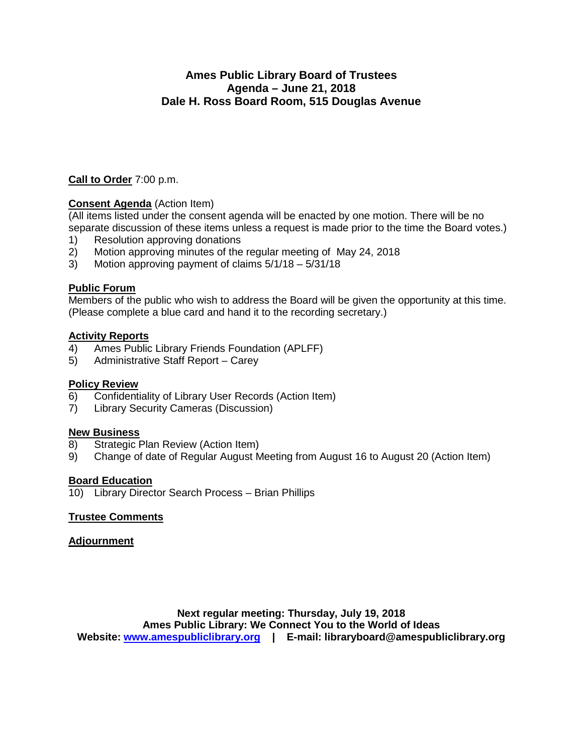### **Ames Public Library Board of Trustees Agenda – June 21, 2018 Dale H. Ross Board Room, 515 Douglas Avenue**

**Call to Order** 7:00 p.m.

### **Consent Agenda** (Action Item)

(All items listed under the consent agenda will be enacted by one motion. There will be no separate discussion of these items unless a request is made prior to the time the Board votes.)

- 1) Resolution approving donations
- 2) Motion approving minutes of the regular meeting of May 24, 2018
- 3) Motion approving payment of claims 5/1/18 5/31/18

### **Public Forum**

Members of the public who wish to address the Board will be given the opportunity at this time. (Please complete a blue card and hand it to the recording secretary.)

#### **Activity Reports**

- 4) Ames Public Library Friends Foundation (APLFF)
- 5) Administrative Staff Report Carey

# **Policy Review**<br>6) Confidenti

- 6) Confidentiality of Library User Records (Action Item)
- 7) Library Security Cameras (Discussion)

#### **New Business**

- 8) Strategic Plan Review (Action Item)
- 9) Change of date of Regular August Meeting from August 16 to August 20 (Action Item)

#### **Board Education**

10) Library Director Search Process – Brian Phillips

### **Trustee Comments**

#### **Adjournment**

**Next regular meeting: Thursday, July 19, 2018 Ames Public Library: We Connect You to the World of Ideas Website: [www.amespubliclibrary.org](http://www.amespubliclibrary.org/) | E-mail: libraryboard@amespubliclibrary.org**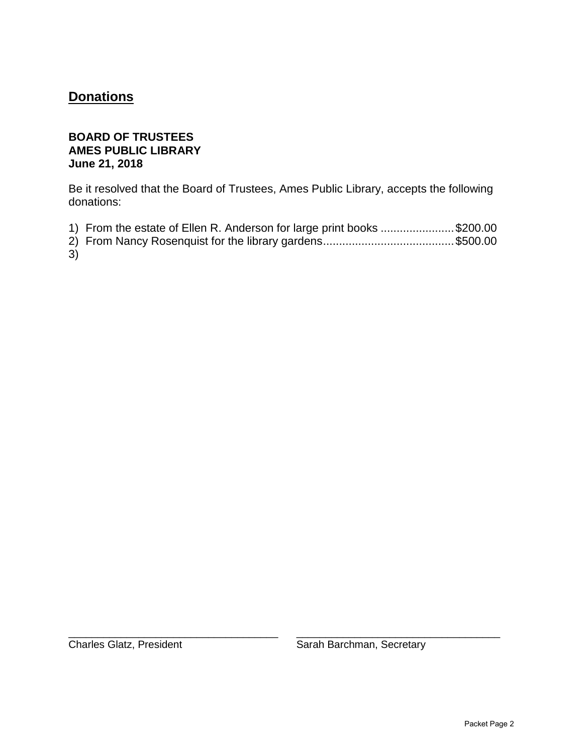# **Donations**

### **BOARD OF TRUSTEES AMES PUBLIC LIBRARY June 21, 2018**

Be it resolved that the Board of Trustees, Ames Public Library, accepts the following donations:

- 1) From the estate of Ellen R. Anderson for large print books .......................\$200.00
- 2) From Nancy Rosenquist for the library gardens.........................................\$500.00

3)

\_\_\_\_\_\_\_\_\_\_\_\_\_\_\_\_\_\_\_\_\_\_\_\_\_\_\_\_\_\_\_\_\_\_\_\_ \_\_\_\_\_\_\_\_\_\_\_\_\_\_\_\_\_\_\_\_\_\_\_\_\_\_\_\_\_\_\_\_\_\_\_

Charles Glatz, President Sarah Barchman, Secretary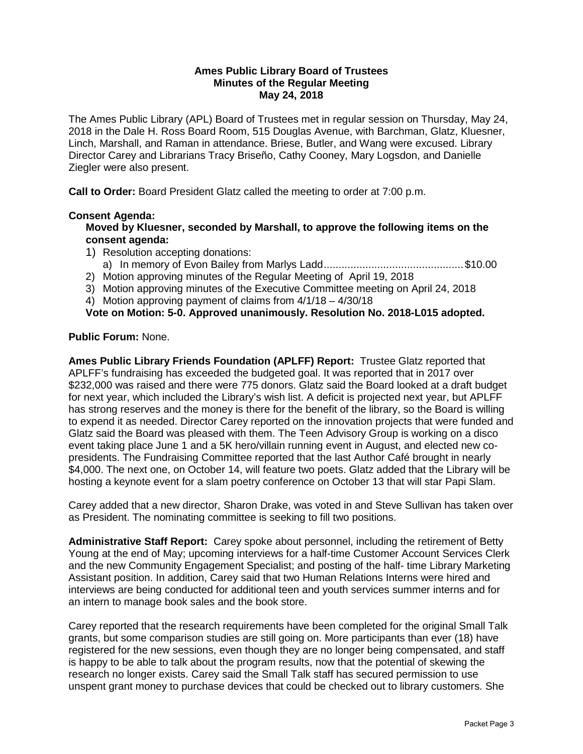#### **Ames Public Library Board of Trustees Minutes of the Regular Meeting May 24, 2018**

The Ames Public Library (APL) Board of Trustees met in regular session on Thursday, May 24, 2018 in the Dale H. Ross Board Room, 515 Douglas Avenue, with Barchman, Glatz, Kluesner, Linch, Marshall, and Raman in attendance. Briese, Butler, and Wang were excused. Library Director Carey and Librarians Tracy Briseño, Cathy Cooney, Mary Logsdon, and Danielle Ziegler were also present.

**Call to Order:** Board President Glatz called the meeting to order at 7:00 p.m.

#### **Consent Agenda:**

**Moved by Kluesner, seconded by Marshall, to approve the following items on the consent agenda:**

- 1) Resolution accepting donations:
	- a) In memory of Evon Bailey from Marlys Ladd...............................................\$10.00
- 2) Motion approving minutes of the Regular Meeting of April 19, 2018
- 3) Motion approving minutes of the Executive Committee meeting on April 24, 2018

4) Motion approving payment of claims from 4/1/18 – 4/30/18

**Vote on Motion: 5-0. Approved unanimously. Resolution No. 2018-L015 adopted.**

#### **Public Forum:** None.

**Ames Public Library Friends Foundation (APLFF) Report:** Trustee Glatz reported that APLFF's fundraising has exceeded the budgeted goal. It was reported that in 2017 over \$232,000 was raised and there were 775 donors. Glatz said the Board looked at a draft budget for next year, which included the Library's wish list. A deficit is projected next year, but APLFF has strong reserves and the money is there for the benefit of the library, so the Board is willing to expend it as needed. Director Carey reported on the innovation projects that were funded and Glatz said the Board was pleased with them. The Teen Advisory Group is working on a disco event taking place June 1 and a 5K hero/villain running event in August, and elected new copresidents. The Fundraising Committee reported that the last Author Café brought in nearly \$4,000. The next one, on October 14, will feature two poets. Glatz added that the Library will be hosting a keynote event for a slam poetry conference on October 13 that will star Papi Slam.

Carey added that a new director, Sharon Drake, was voted in and Steve Sullivan has taken over as President. The nominating committee is seeking to fill two positions.

**Administrative Staff Report:** Carey spoke about personnel, including the retirement of Betty Young at the end of May; upcoming interviews for a half-time Customer Account Services Clerk and the new Community Engagement Specialist; and posting of the half- time Library Marketing Assistant position. In addition, Carey said that two Human Relations Interns were hired and interviews are being conducted for additional teen and youth services summer interns and for an intern to manage book sales and the book store.

Carey reported that the research requirements have been completed for the original Small Talk grants, but some comparison studies are still going on. More participants than ever (18) have registered for the new sessions, even though they are no longer being compensated, and staff is happy to be able to talk about the program results, now that the potential of skewing the research no longer exists. Carey said the Small Talk staff has secured permission to use unspent grant money to purchase devices that could be checked out to library customers. She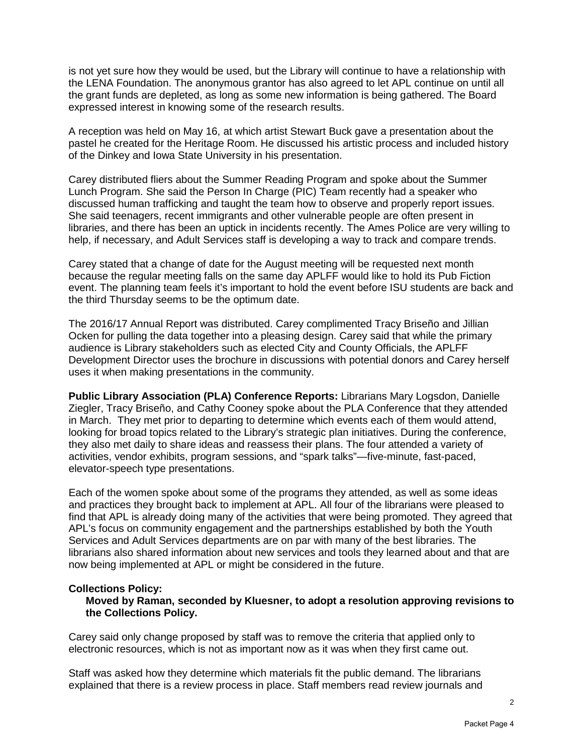is not yet sure how they would be used, but the Library will continue to have a relationship with the LENA Foundation. The anonymous grantor has also agreed to let APL continue on until all the grant funds are depleted, as long as some new information is being gathered. The Board expressed interest in knowing some of the research results.

A reception was held on May 16, at which artist Stewart Buck gave a presentation about the pastel he created for the Heritage Room. He discussed his artistic process and included history of the Dinkey and Iowa State University in his presentation.

Carey distributed fliers about the Summer Reading Program and spoke about the Summer Lunch Program. She said the Person In Charge (PIC) Team recently had a speaker who discussed human trafficking and taught the team how to observe and properly report issues. She said teenagers, recent immigrants and other vulnerable people are often present in libraries, and there has been an uptick in incidents recently. The Ames Police are very willing to help, if necessary, and Adult Services staff is developing a way to track and compare trends.

Carey stated that a change of date for the August meeting will be requested next month because the regular meeting falls on the same day APLFF would like to hold its Pub Fiction event. The planning team feels it's important to hold the event before ISU students are back and the third Thursday seems to be the optimum date.

The 2016/17 Annual Report was distributed. Carey complimented Tracy Briseño and Jillian Ocken for pulling the data together into a pleasing design. Carey said that while the primary audience is Library stakeholders such as elected City and County Officials, the APLFF Development Director uses the brochure in discussions with potential donors and Carey herself uses it when making presentations in the community.

**Public Library Association (PLA) Conference Reports:** Librarians Mary Logsdon, Danielle Ziegler, Tracy Briseño, and Cathy Cooney spoke about the PLA Conference that they attended in March. They met prior to departing to determine which events each of them would attend, looking for broad topics related to the Library's strategic plan initiatives. During the conference, they also met daily to share ideas and reassess their plans. The four attended a variety of activities, vendor exhibits, program sessions, and "spark talks"—five-minute, fast-paced, elevator-speech type presentations.

Each of the women spoke about some of the programs they attended, as well as some ideas and practices they brought back to implement at APL. All four of the librarians were pleased to find that APL is already doing many of the activities that were being promoted. They agreed that APL's focus on community engagement and the partnerships established by both the Youth Services and Adult Services departments are on par with many of the best libraries. The librarians also shared information about new services and tools they learned about and that are now being implemented at APL or might be considered in the future.

#### **Collections Policy:**

**Moved by Raman, seconded by Kluesner, to adopt a resolution approving revisions to the Collections Policy.**

Carey said only change proposed by staff was to remove the criteria that applied only to electronic resources, which is not as important now as it was when they first came out.

Staff was asked how they determine which materials fit the public demand. The librarians explained that there is a review process in place. Staff members read review journals and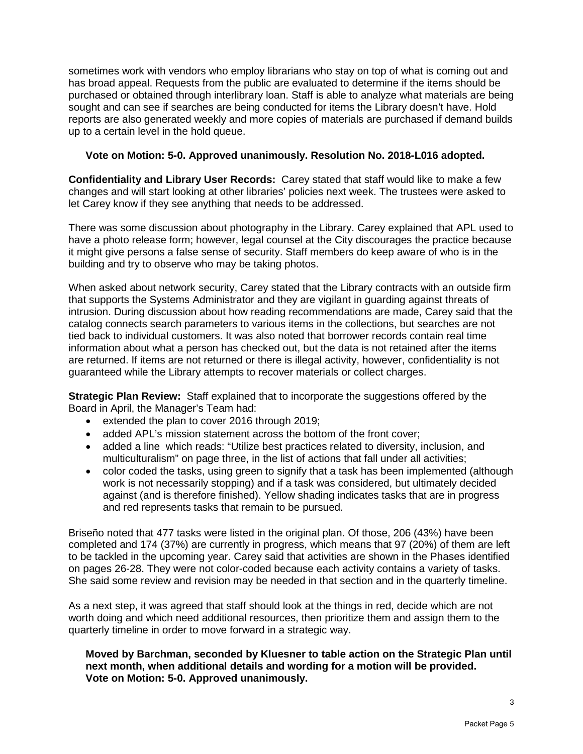sometimes work with vendors who employ librarians who stay on top of what is coming out and has broad appeal. Requests from the public are evaluated to determine if the items should be purchased or obtained through interlibrary loan. Staff is able to analyze what materials are being sought and can see if searches are being conducted for items the Library doesn't have. Hold reports are also generated weekly and more copies of materials are purchased if demand builds up to a certain level in the hold queue.

#### **Vote on Motion: 5-0. Approved unanimously. Resolution No. 2018-L016 adopted.**

**Confidentiality and Library User Records:** Carey stated that staff would like to make a few changes and will start looking at other libraries' policies next week. The trustees were asked to let Carey know if they see anything that needs to be addressed.

There was some discussion about photography in the Library. Carey explained that APL used to have a photo release form; however, legal counsel at the City discourages the practice because it might give persons a false sense of security. Staff members do keep aware of who is in the building and try to observe who may be taking photos.

When asked about network security, Carey stated that the Library contracts with an outside firm that supports the Systems Administrator and they are vigilant in guarding against threats of intrusion. During discussion about how reading recommendations are made, Carey said that the catalog connects search parameters to various items in the collections, but searches are not tied back to individual customers. It was also noted that borrower records contain real time information about what a person has checked out, but the data is not retained after the items are returned. If items are not returned or there is illegal activity, however, confidentiality is not guaranteed while the Library attempts to recover materials or collect charges.

**Strategic Plan Review:** Staff explained that to incorporate the suggestions offered by the Board in April, the Manager's Team had:

- extended the plan to cover 2016 through 2019;
- added APL's mission statement across the bottom of the front cover;
- added a line which reads: "Utilize best practices related to diversity, inclusion, and multiculturalism" on page three, in the list of actions that fall under all activities;
- color coded the tasks, using green to signify that a task has been implemented (although work is not necessarily stopping) and if a task was considered, but ultimately decided against (and is therefore finished). Yellow shading indicates tasks that are in progress and red represents tasks that remain to be pursued.

Briseño noted that 477 tasks were listed in the original plan. Of those, 206 (43%) have been completed and 174 (37%) are currently in progress, which means that 97 (20%) of them are left to be tackled in the upcoming year. Carey said that activities are shown in the Phases identified on pages 26-28. They were not color-coded because each activity contains a variety of tasks. She said some review and revision may be needed in that section and in the quarterly timeline.

As a next step, it was agreed that staff should look at the things in red, decide which are not worth doing and which need additional resources, then prioritize them and assign them to the quarterly timeline in order to move forward in a strategic way.

**Moved by Barchman, seconded by Kluesner to table action on the Strategic Plan until next month, when additional details and wording for a motion will be provided. Vote on Motion: 5-0. Approved unanimously.**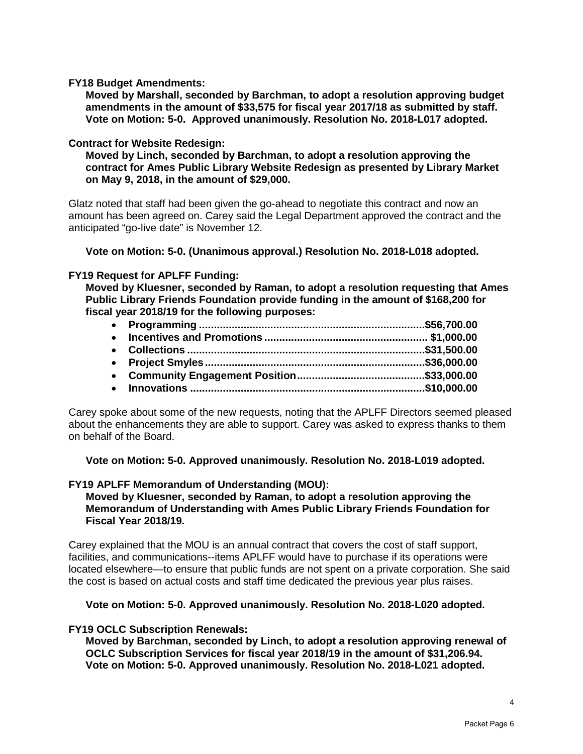**FY18 Budget Amendments:**

**Moved by Marshall, seconded by Barchman, to adopt a resolution approving budget amendments in the amount of \$33,575 for fiscal year 2017/18 as submitted by staff. Vote on Motion: 5-0. Approved unanimously. Resolution No. 2018-L017 adopted.**

#### **Contract for Website Redesign:**

**Moved by Linch, seconded by Barchman, to adopt a resolution approving the contract for Ames Public Library Website Redesign as presented by Library Market on May 9, 2018, in the amount of \$29,000.** 

Glatz noted that staff had been given the go-ahead to negotiate this contract and now an amount has been agreed on. Carey said the Legal Department approved the contract and the anticipated "go-live date" is November 12.

**Vote on Motion: 5-0. (Unanimous approval.) Resolution No. 2018-L018 adopted.**

#### **FY19 Request for APLFF Funding:**

**Moved by Kluesner, seconded by Raman, to adopt a resolution requesting that Ames Public Library Friends Foundation provide funding in the amount of \$168,200 for fiscal year 2018/19 for the following purposes:** 

Carey spoke about some of the new requests, noting that the APLFF Directors seemed pleased about the enhancements they are able to support. Carey was asked to express thanks to them on behalf of the Board.

**Vote on Motion: 5-0. Approved unanimously. Resolution No. 2018-L019 adopted.**

#### **FY19 APLFF Memorandum of Understanding (MOU):**

#### **Moved by Kluesner, seconded by Raman, to adopt a resolution approving the Memorandum of Understanding with Ames Public Library Friends Foundation for Fiscal Year 2018/19.**

Carey explained that the MOU is an annual contract that covers the cost of staff support, facilities, and communications--items APLFF would have to purchase if its operations were located elsewhere—to ensure that public funds are not spent on a private corporation. She said the cost is based on actual costs and staff time dedicated the previous year plus raises.

#### **Vote on Motion: 5-0. Approved unanimously. Resolution No. 2018-L020 adopted.**

#### **FY19 OCLC Subscription Renewals:**

**Moved by Barchman, seconded by Linch, to adopt a resolution approving renewal of OCLC Subscription Services for fiscal year 2018/19 in the amount of \$31,206.94. Vote on Motion: 5-0. Approved unanimously. Resolution No. 2018-L021 adopted.**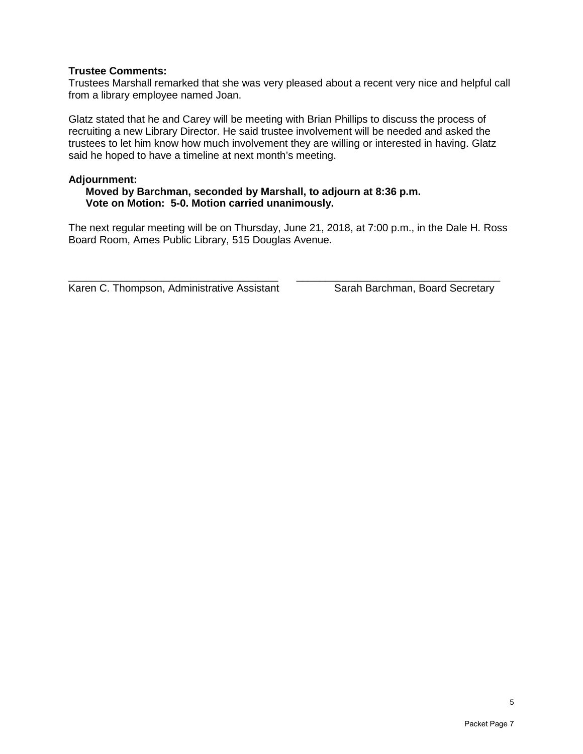#### **Trustee Comments:**

Trustees Marshall remarked that she was very pleased about a recent very nice and helpful call from a library employee named Joan.

Glatz stated that he and Carey will be meeting with Brian Phillips to discuss the process of recruiting a new Library Director. He said trustee involvement will be needed and asked the trustees to let him know how much involvement they are willing or interested in having. Glatz said he hoped to have a timeline at next month's meeting.

#### **Adjournment:**

#### **Moved by Barchman, seconded by Marshall, to adjourn at 8:36 p.m. Vote on Motion: 5-0. Motion carried unanimously.**

The next regular meeting will be on Thursday, June 21, 2018, at 7:00 p.m., in the Dale H. Ross Board Room, Ames Public Library, 515 Douglas Avenue.

Karen C. Thompson, Administrative Assistant Sarah Barchman, Board Secretary

\_\_\_\_\_\_\_\_\_\_\_\_\_\_\_\_\_\_\_\_\_\_\_\_\_\_\_\_\_\_\_\_\_\_\_\_ \_\_\_\_\_\_\_\_\_\_\_\_\_\_\_\_\_\_\_\_\_\_\_\_\_\_\_\_\_\_\_\_\_\_\_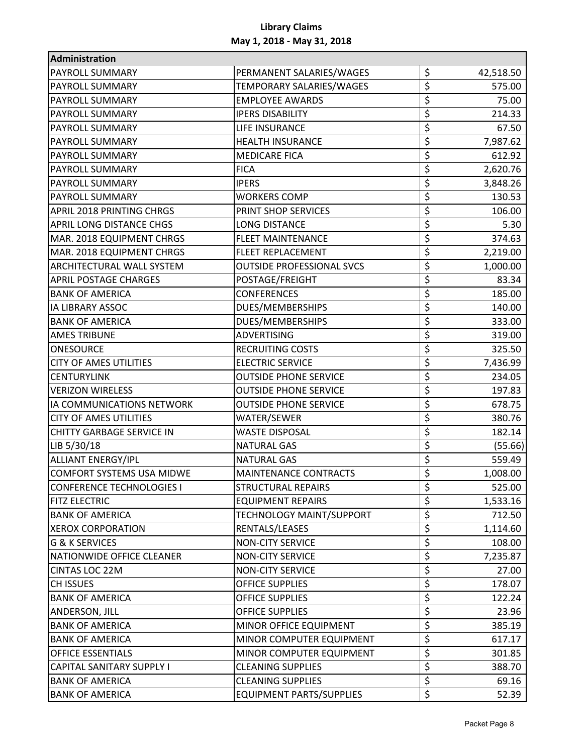| Administration                   |                                  |                 |
|----------------------------------|----------------------------------|-----------------|
| PAYROLL SUMMARY                  | PERMANENT SALARIES/WAGES         | \$<br>42,518.50 |
| <b>PAYROLL SUMMARY</b>           | TEMPORARY SALARIES/WAGES         | \$<br>575.00    |
| PAYROLL SUMMARY                  | <b>EMPLOYEE AWARDS</b>           | \$<br>75.00     |
| PAYROLL SUMMARY                  | <b>IPERS DISABILITY</b>          | \$<br>214.33    |
| PAYROLL SUMMARY                  | LIFE INSURANCE                   | \$<br>67.50     |
| PAYROLL SUMMARY                  | <b>HEALTH INSURANCE</b>          | \$<br>7,987.62  |
| PAYROLL SUMMARY                  | <b>MEDICARE FICA</b>             | \$<br>612.92    |
| PAYROLL SUMMARY                  | <b>FICA</b>                      | \$<br>2,620.76  |
| PAYROLL SUMMARY                  | <b>IPERS</b>                     | \$<br>3,848.26  |
| PAYROLL SUMMARY                  | <b>WORKERS COMP</b>              | \$<br>130.53    |
| APRIL 2018 PRINTING CHRGS        | PRINT SHOP SERVICES              | \$<br>106.00    |
| APRIL LONG DISTANCE CHGS         | <b>LONG DISTANCE</b>             | \$<br>5.30      |
| MAR. 2018 EQUIPMENT CHRGS        | <b>FLEET MAINTENANCE</b>         | \$<br>374.63    |
| MAR. 2018 EQUIPMENT CHRGS        | <b>FLEET REPLACEMENT</b>         | \$<br>2,219.00  |
| <b>ARCHITECTURAL WALL SYSTEM</b> | <b>OUTSIDE PROFESSIONAL SVCS</b> | \$<br>1,000.00  |
| <b>APRIL POSTAGE CHARGES</b>     | POSTAGE/FREIGHT                  | \$<br>83.34     |
| <b>BANK OF AMERICA</b>           | <b>CONFERENCES</b>               | \$<br>185.00    |
| IA LIBRARY ASSOC                 | DUES/MEMBERSHIPS                 | \$<br>140.00    |
| <b>BANK OF AMERICA</b>           | DUES/MEMBERSHIPS                 | \$<br>333.00    |
| <b>AMES TRIBUNE</b>              | <b>ADVERTISING</b>               | \$<br>319.00    |
| ONESOURCE                        | <b>RECRUITING COSTS</b>          | \$<br>325.50    |
| <b>CITY OF AMES UTILITIES</b>    | <b>ELECTRIC SERVICE</b>          | \$<br>7,436.99  |
| <b>CENTURYLINK</b>               | <b>OUTSIDE PHONE SERVICE</b>     | \$<br>234.05    |
| <b>VERIZON WIRELESS</b>          | <b>OUTSIDE PHONE SERVICE</b>     | \$<br>197.83    |
| IA COMMUNICATIONS NETWORK        | <b>OUTSIDE PHONE SERVICE</b>     | \$<br>678.75    |
| <b>CITY OF AMES UTILITIES</b>    | WATER/SEWER                      | \$<br>380.76    |
| <b>CHITTY GARBAGE SERVICE IN</b> | <b>WASTE DISPOSAL</b>            | \$<br>182.14    |
| LIB 5/30/18                      | <b>NATURAL GAS</b>               | \$<br>(55.66)   |
| <b>ALLIANT ENERGY/IPL</b>        | <b>NATURAL GAS</b>               | \$<br>559.49    |
| COMFORT SYSTEMS USA MIDWE        | MAINTENANCE CONTRACTS            | \$<br>1,008.00  |
| <b>CONFERENCE TECHNOLOGIES I</b> | <b>STRUCTURAL REPAIRS</b>        | \$<br>525.00    |
| <b>FITZ ELECTRIC</b>             | <b>EQUIPMENT REPAIRS</b>         | \$<br>1,533.16  |
| <b>BANK OF AMERICA</b>           | TECHNOLOGY MAINT/SUPPORT         | \$<br>712.50    |
| <b>XEROX CORPORATION</b>         | RENTALS/LEASES                   | \$<br>1,114.60  |
| <b>G &amp; K SERVICES</b>        | <b>NON-CITY SERVICE</b>          | \$<br>108.00    |
| NATIONWIDE OFFICE CLEANER        | <b>NON-CITY SERVICE</b>          | \$<br>7,235.87  |
| <b>CINTAS LOC 22M</b>            | <b>NON-CITY SERVICE</b>          | \$<br>27.00     |
| CH ISSUES                        | <b>OFFICE SUPPLIES</b>           | \$<br>178.07    |
| <b>BANK OF AMERICA</b>           | OFFICE SUPPLIES                  | \$<br>122.24    |
| ANDERSON, JILL                   | <b>OFFICE SUPPLIES</b>           | \$<br>23.96     |
| <b>BANK OF AMERICA</b>           | MINOR OFFICE EQUIPMENT           | \$<br>385.19    |
| <b>BANK OF AMERICA</b>           | MINOR COMPUTER EQUIPMENT         | \$<br>617.17    |
| <b>OFFICE ESSENTIALS</b>         | MINOR COMPUTER EQUIPMENT         | \$<br>301.85    |
| CAPITAL SANITARY SUPPLY I        | <b>CLEANING SUPPLIES</b>         | \$<br>388.70    |
| <b>BANK OF AMERICA</b>           | <b>CLEANING SUPPLIES</b>         | \$<br>69.16     |
| <b>BANK OF AMERICA</b>           | <b>EQUIPMENT PARTS/SUPPLIES</b>  | \$<br>52.39     |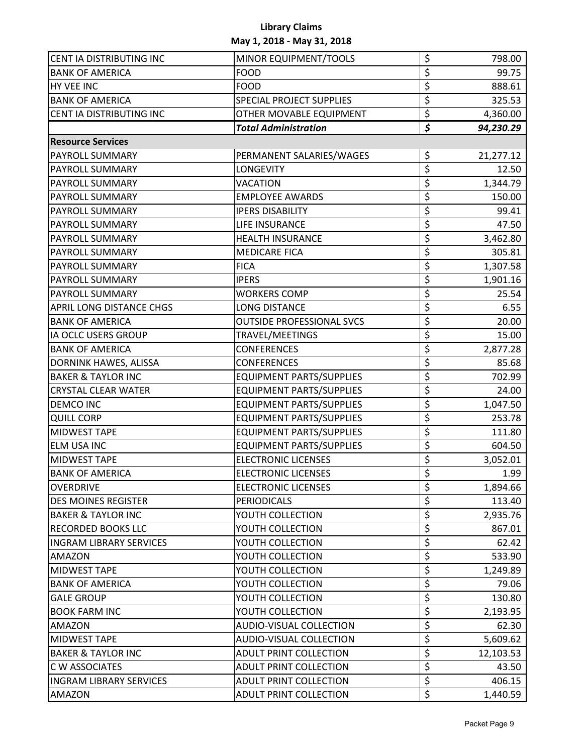| CENT IA DISTRIBUTING INC        | MINOR EQUIPMENT/TOOLS            | \$<br>798.00    |
|---------------------------------|----------------------------------|-----------------|
| <b>BANK OF AMERICA</b>          | <b>FOOD</b>                      | \$<br>99.75     |
| HY VEE INC                      | <b>FOOD</b>                      | \$<br>888.61    |
| <b>BANK OF AMERICA</b>          | <b>SPECIAL PROJECT SUPPLIES</b>  | \$<br>325.53    |
| CENT IA DISTRIBUTING INC        | OTHER MOVABLE EQUIPMENT          | \$<br>4,360.00  |
|                                 | <b>Total Administration</b>      | \$<br>94,230.29 |
| <b>Resource Services</b>        |                                  |                 |
| PAYROLL SUMMARY                 | PERMANENT SALARIES/WAGES         | \$<br>21,277.12 |
| <b>PAYROLL SUMMARY</b>          | <b>LONGEVITY</b>                 | \$<br>12.50     |
| <b>PAYROLL SUMMARY</b>          | VACATION                         | \$<br>1,344.79  |
| <b>PAYROLL SUMMARY</b>          | <b>EMPLOYEE AWARDS</b>           | \$<br>150.00    |
| <b>PAYROLL SUMMARY</b>          | <b>IPERS DISABILITY</b>          | \$<br>99.41     |
| <b>PAYROLL SUMMARY</b>          | LIFE INSURANCE                   | \$<br>47.50     |
| <b>PAYROLL SUMMARY</b>          | <b>HEALTH INSURANCE</b>          | \$<br>3,462.80  |
| <b>PAYROLL SUMMARY</b>          | <b>MEDICARE FICA</b>             | \$<br>305.81    |
| <b>PAYROLL SUMMARY</b>          | <b>FICA</b>                      | \$<br>1,307.58  |
| <b>PAYROLL SUMMARY</b>          | <b>IPERS</b>                     | \$<br>1,901.16  |
| <b>PAYROLL SUMMARY</b>          | <b>WORKERS COMP</b>              | \$<br>25.54     |
| <b>APRIL LONG DISTANCE CHGS</b> | <b>LONG DISTANCE</b>             | \$<br>6.55      |
| <b>BANK OF AMERICA</b>          | <b>OUTSIDE PROFESSIONAL SVCS</b> | \$<br>20.00     |
| IA OCLC USERS GROUP             | TRAVEL/MEETINGS                  | \$<br>15.00     |
| <b>BANK OF AMERICA</b>          | <b>CONFERENCES</b>               | \$<br>2,877.28  |
| DORNINK HAWES, ALISSA           | <b>CONFERENCES</b>               | \$<br>85.68     |
| <b>BAKER &amp; TAYLOR INC</b>   | <b>EQUIPMENT PARTS/SUPPLIES</b>  | \$<br>702.99    |
| <b>CRYSTAL CLEAR WATER</b>      | <b>EQUIPMENT PARTS/SUPPLIES</b>  | \$<br>24.00     |
| <b>DEMCO INC</b>                | <b>EQUIPMENT PARTS/SUPPLIES</b>  | \$<br>1,047.50  |
| <b>QUILL CORP</b>               | <b>EQUIPMENT PARTS/SUPPLIES</b>  | \$<br>253.78    |
| <b>MIDWEST TAPE</b>             | <b>EQUIPMENT PARTS/SUPPLIES</b>  | \$<br>111.80    |
| <b>ELM USA INC</b>              | <b>EQUIPMENT PARTS/SUPPLIES</b>  | \$<br>604.50    |
| <b>MIDWEST TAPE</b>             | <b>ELECTRONIC LICENSES</b>       | \$<br>3,052.01  |
| <b>BANK OF AMERICA</b>          | <b>ELECTRONIC LICENSES</b>       | \$<br>1.99      |
| <b>OVERDRIVE</b>                | <b>ELECTRONIC LICENSES</b>       | \$<br>1,894.66  |
| <b>DES MOINES REGISTER</b>      | <b>PERIODICALS</b>               | \$<br>113.40    |
| <b>BAKER &amp; TAYLOR INC</b>   | YOUTH COLLECTION                 | \$<br>2,935.76  |
| <b>RECORDED BOOKS LLC</b>       | YOUTH COLLECTION                 | \$<br>867.01    |
| <b>INGRAM LIBRARY SERVICES</b>  | YOUTH COLLECTION                 | \$<br>62.42     |
| AMAZON                          | YOUTH COLLECTION                 | \$<br>533.90    |
| <b>MIDWEST TAPE</b>             | YOUTH COLLECTION                 | \$<br>1,249.89  |
| <b>BANK OF AMERICA</b>          | YOUTH COLLECTION                 | \$<br>79.06     |
| <b>GALE GROUP</b>               | YOUTH COLLECTION                 | \$<br>130.80    |
| <b>BOOK FARM INC</b>            | YOUTH COLLECTION                 | \$<br>2,193.95  |
| <b>AMAZON</b>                   | AUDIO-VISUAL COLLECTION          | \$<br>62.30     |
| <b>MIDWEST TAPE</b>             | AUDIO-VISUAL COLLECTION          | \$<br>5,609.62  |
| <b>BAKER &amp; TAYLOR INC</b>   | <b>ADULT PRINT COLLECTION</b>    | \$<br>12,103.53 |
| <b>C W ASSOCIATES</b>           | <b>ADULT PRINT COLLECTION</b>    | \$<br>43.50     |
| <b>INGRAM LIBRARY SERVICES</b>  | <b>ADULT PRINT COLLECTION</b>    | \$<br>406.15    |
| AMAZON                          | ADULT PRINT COLLECTION           | \$<br>1,440.59  |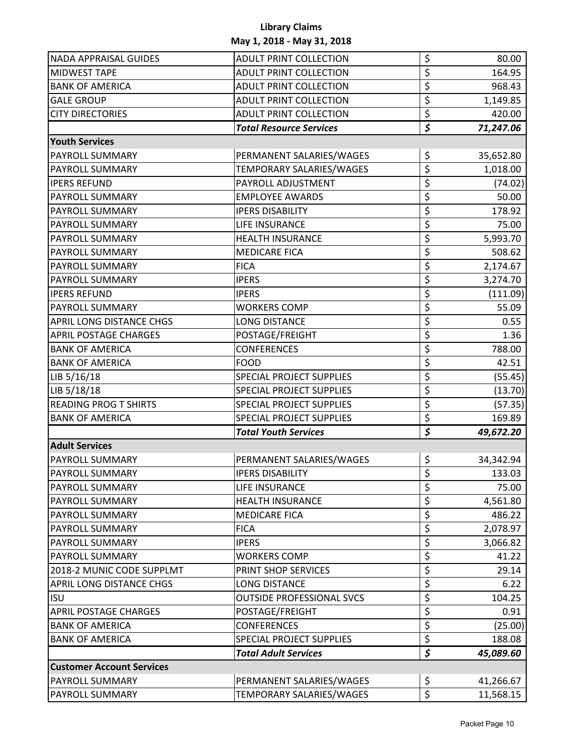| <b>NADA APPRAISAL GUIDES</b>     | <b>ADULT PRINT COLLECTION</b>    | \$                                   | 80.00     |
|----------------------------------|----------------------------------|--------------------------------------|-----------|
| <b>MIDWEST TAPE</b>              | <b>ADULT PRINT COLLECTION</b>    | \$                                   | 164.95    |
| <b>BANK OF AMERICA</b>           | <b>ADULT PRINT COLLECTION</b>    | \$                                   | 968.43    |
| <b>GALE GROUP</b>                | <b>ADULT PRINT COLLECTION</b>    | \$                                   | 1,149.85  |
| <b>CITY DIRECTORIES</b>          | <b>ADULT PRINT COLLECTION</b>    | \$                                   | 420.00    |
|                                  | <b>Total Resource Services</b>   | \$                                   | 71,247.06 |
| <b>Youth Services</b>            |                                  |                                      |           |
| PAYROLL SUMMARY                  | PERMANENT SALARIES/WAGES         | \$                                   | 35,652.80 |
| PAYROLL SUMMARY                  | TEMPORARY SALARIES/WAGES         | \$                                   | 1,018.00  |
| <b>IPERS REFUND</b>              | PAYROLL ADJUSTMENT               | \$                                   | (74.02)   |
| PAYROLL SUMMARY                  | <b>EMPLOYEE AWARDS</b>           | \$                                   | 50.00     |
| PAYROLL SUMMARY                  | <b>IPERS DISABILITY</b>          | \$                                   | 178.92    |
| PAYROLL SUMMARY                  | LIFE INSURANCE                   | \$                                   | 75.00     |
| PAYROLL SUMMARY                  | <b>HEALTH INSURANCE</b>          | \$                                   | 5,993.70  |
| PAYROLL SUMMARY                  | <b>MEDICARE FICA</b>             | \$                                   | 508.62    |
| PAYROLL SUMMARY                  | <b>FICA</b>                      | \$                                   | 2,174.67  |
| PAYROLL SUMMARY                  | <b>IPERS</b>                     | \$                                   | 3,274.70  |
| <b>IPERS REFUND</b>              | <b>IPERS</b>                     | \$                                   | (111.09)  |
| PAYROLL SUMMARY                  | <b>WORKERS COMP</b>              | \$                                   | 55.09     |
| APRIL LONG DISTANCE CHGS         | <b>LONG DISTANCE</b>             | \$                                   | 0.55      |
| <b>APRIL POSTAGE CHARGES</b>     | POSTAGE/FREIGHT                  | \$                                   | 1.36      |
| <b>BANK OF AMERICA</b>           | <b>CONFERENCES</b>               | \$                                   | 788.00    |
| <b>BANK OF AMERICA</b>           | <b>FOOD</b>                      | \$                                   | 42.51     |
| LIB 5/16/18                      | <b>SPECIAL PROJECT SUPPLIES</b>  | \$                                   | (55.45)   |
| LIB 5/18/18                      | <b>SPECIAL PROJECT SUPPLIES</b>  | \$                                   | (13.70)   |
| <b>READING PROG T SHIRTS</b>     | <b>SPECIAL PROJECT SUPPLIES</b>  | \$                                   | (57.35)   |
| <b>BANK OF AMERICA</b>           | <b>SPECIAL PROJECT SUPPLIES</b>  | \$                                   | 169.89    |
|                                  | <b>Total Youth Services</b>      | $\overline{\boldsymbol{\mathsf{S}}}$ | 49,672.20 |
| <b>Adult Services</b>            |                                  |                                      |           |
| PAYROLL SUMMARY                  | PERMANENT SALARIES/WAGES         | \$                                   | 34,342.94 |
| <b>PAYROLL SUMMARY</b>           | <b>IPERS DISABILITY</b>          | $\zeta$                              | 133.03    |
| PAYROLL SUMMARY                  | LIFE INSURANCE                   | \$                                   | 75.00     |
| PAYROLL SUMMARY                  | <b>HEALTH INSURANCE</b>          | \$                                   | 4,561.80  |
| PAYROLL SUMMARY                  | <b>MEDICARE FICA</b>             | \$                                   | 486.22    |
| PAYROLL SUMMARY                  | <b>FICA</b>                      | \$                                   | 2,078.97  |
| PAYROLL SUMMARY                  | <b>IPERS</b>                     | \$                                   | 3,066.82  |
| PAYROLL SUMMARY                  | <b>WORKERS COMP</b>              | \$                                   | 41.22     |
| 2018-2 MUNIC CODE SUPPLMT        | PRINT SHOP SERVICES              | \$                                   | 29.14     |
| APRIL LONG DISTANCE CHGS         | <b>LONG DISTANCE</b>             | \$                                   | 6.22      |
| <b>ISU</b>                       | <b>OUTSIDE PROFESSIONAL SVCS</b> | \$                                   | 104.25    |
| <b>APRIL POSTAGE CHARGES</b>     | POSTAGE/FREIGHT                  | \$                                   | 0.91      |
| <b>BANK OF AMERICA</b>           | <b>CONFERENCES</b>               | \$                                   | (25.00)   |
| <b>BANK OF AMERICA</b>           | <b>SPECIAL PROJECT SUPPLIES</b>  | \$                                   | 188.08    |
|                                  | <b>Total Adult Services</b>      | \$                                   | 45,089.60 |
| <b>Customer Account Services</b> |                                  |                                      |           |
| PAYROLL SUMMARY                  | PERMANENT SALARIES/WAGES         | \$                                   | 41,266.67 |
| PAYROLL SUMMARY                  | TEMPORARY SALARIES/WAGES         | \$                                   | 11,568.15 |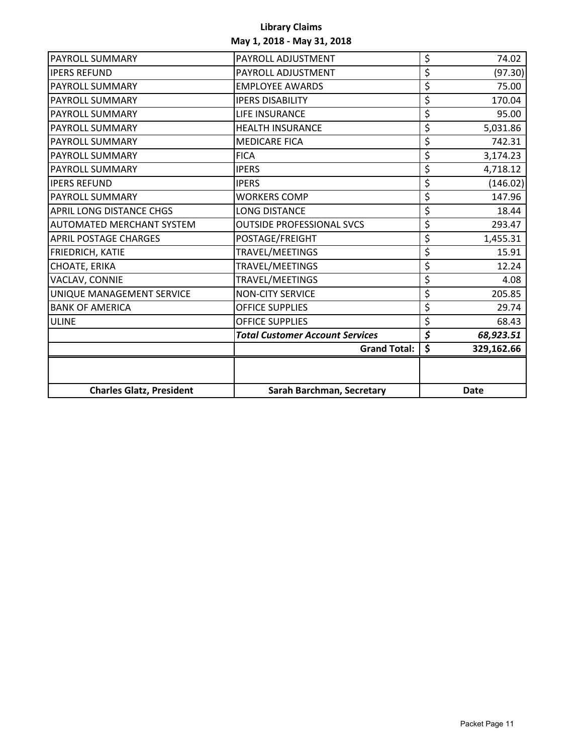| <b>Charles Glatz, President</b>  | Sarah Barchman, Secretary              |                                 | <b>Date</b> |
|----------------------------------|----------------------------------------|---------------------------------|-------------|
|                                  |                                        |                                 |             |
|                                  | <b>Grand Total:</b>                    | \$                              | 329,162.66  |
|                                  | <b>Total Customer Account Services</b> | $\overline{\boldsymbol{\zeta}}$ | 68,923.51   |
| <b>ULINE</b>                     | <b>OFFICE SUPPLIES</b>                 | \$                              | 68.43       |
| <b>BANK OF AMERICA</b>           | <b>OFFICE SUPPLIES</b>                 | \$                              | 29.74       |
| UNIQUE MANAGEMENT SERVICE        | <b>NON-CITY SERVICE</b>                | \$                              | 205.85      |
| VACLAV, CONNIE                   | TRAVEL/MEETINGS                        | \$                              | 4.08        |
| CHOATE, ERIKA                    | TRAVEL/MEETINGS                        | \$                              | 12.24       |
| FRIEDRICH, KATIE                 | TRAVEL/MEETINGS                        | \$                              | 15.91       |
| <b>APRIL POSTAGE CHARGES</b>     | POSTAGE/FREIGHT                        | \$                              | 1,455.31    |
| <b>AUTOMATED MERCHANT SYSTEM</b> | <b>OUTSIDE PROFESSIONAL SVCS</b>       | \$                              | 293.47      |
| APRIL LONG DISTANCE CHGS         | <b>LONG DISTANCE</b>                   | \$                              | 18.44       |
| PAYROLL SUMMARY                  | <b>WORKERS COMP</b>                    | \$                              | 147.96      |
| <b>IPERS REFUND</b>              | <b>IPERS</b>                           | \$                              | (146.02)    |
| PAYROLL SUMMARY                  | <b>IPERS</b>                           | \$                              | 4,718.12    |
| PAYROLL SUMMARY                  | <b>FICA</b>                            | \$                              | 3,174.23    |
| PAYROLL SUMMARY                  | <b>MEDICARE FICA</b>                   | \$                              | 742.31      |
| PAYROLL SUMMARY                  | <b>HEALTH INSURANCE</b>                | \$                              | 5,031.86    |
| PAYROLL SUMMARY                  | LIFE INSURANCE                         | \$                              | 95.00       |
| PAYROLL SUMMARY                  | <b>IPERS DISABILITY</b>                | \$                              | 170.04      |
| PAYROLL SUMMARY                  | <b>EMPLOYEE AWARDS</b>                 | \$                              | 75.00       |
| <b>IPERS REFUND</b>              | PAYROLL ADJUSTMENT                     | \$                              | (97.30)     |
| PAYROLL SUMMARY                  | PAYROLL ADJUSTMENT                     | \$                              | 74.02       |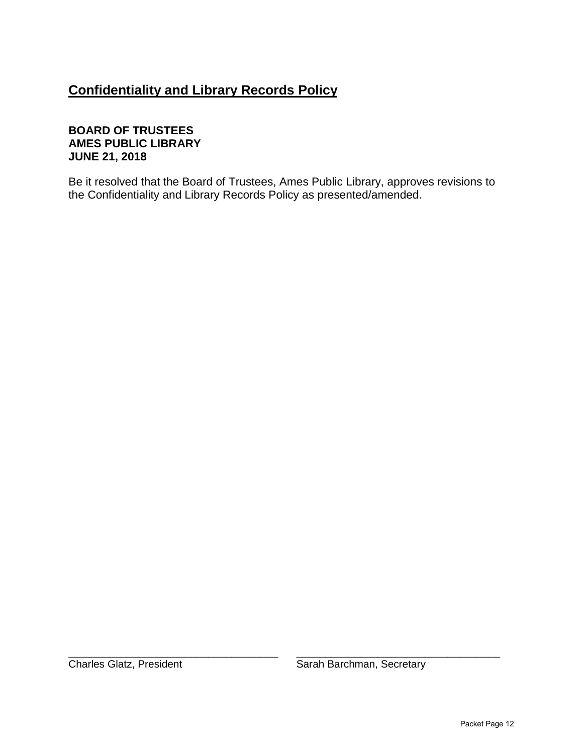# **Confidentiality and Library Records Policy**

### **BOARD OF TRUSTEES AMES PUBLIC LIBRARY JUNE 21, 2018**

Be it resolved that the Board of Trustees, Ames Public Library, approves revisions to the Confidentiality and Library Records Policy as presented/amended.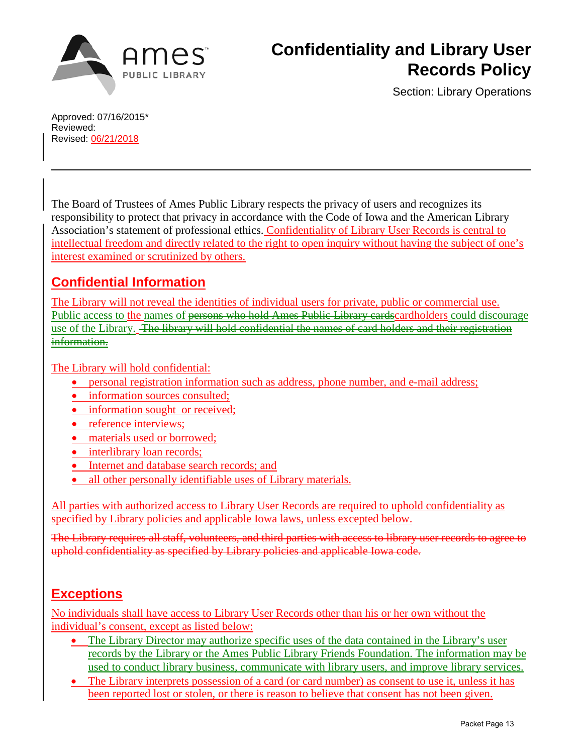

Section: Library Operations

Approved: 07/16/2015\* Reviewed: Revised: 06/21/2018

The Board of Trustees of Ames Public Library respects the privacy of users and recognizes its responsibility to protect that privacy in accordance with the Code of Iowa and the American Library Association's statement of professional ethics. Confidentiality of Library User Records is central to intellectual freedom and directly related to the right to open inquiry without having the subject of one's interest examined or scrutinized by others.

# **Confidential Information**

The Library will not reveal the identities of individual users for private, public or commercial use. Public access to the names of persons who hold Ames Public Library cardscardholders could discourage use of the Library. The library will hold confidential the names of card holders and their registration information.

The Library will hold confidential:

- personal registration information such as address, phone number, and e-mail address;
- information sources consulted;
- information sought or received:
- reference interviews;
- materials used or borrowed;
- interlibrary loan records:
- Internet and database search records; and
- all other personally identifiable uses of Library materials.

All parties with authorized access to Library User Records are required to uphold confidentiality as specified by Library policies and applicable Iowa laws, unless excepted below.

The Library requires all staff, volunteers, and third parties with access to library user records to agree to uphold confidentiality as specified by Library policies and applicable Iowa code.

# **Exceptions**

No individuals shall have access to Library User Records other than his or her own without the individual's consent, except as listed below:

- The Library Director may authorize specific uses of the data contained in the Library's user records by the Library or the Ames Public Library Friends Foundation. The information may be used to conduct library business, communicate with library users, and improve library services.
- The Library interprets possession of a card (or card number) as consent to use it, unless it has been reported lost or stolen, or there is reason to believe that consent has not been given.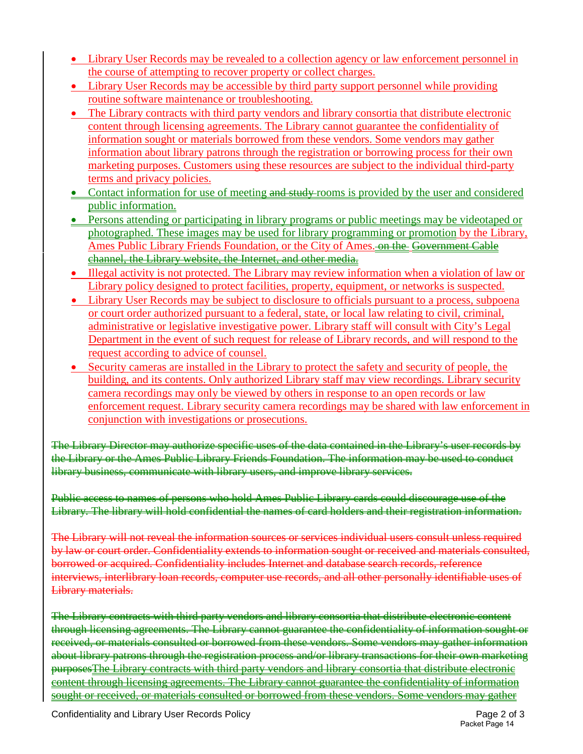- Library User Records may be revealed to a collection agency or law enforcement personnel in the course of attempting to recover property or collect charges.
- Library User Records may be accessible by third party support personnel while providing routine software maintenance or troubleshooting.
- The Library contracts with third party vendors and library consortia that distribute electronic content through licensing agreements. The Library cannot guarantee the confidentiality of information sought or materials borrowed from these vendors. Some vendors may gather information about library patrons through the registration or borrowing process for their own marketing purposes. Customers using these resources are subject to the individual third-party terms and privacy policies.
- Contact information for use of meeting and study rooms is provided by the user and considered public information.
- Persons attending or participating in library programs or public meetings may be videotaped or photographed. These images may be used for library programming or promotion by the Library, Ames Public Library Friends Foundation, or the City of Ames. on the Government Cable channel, the Library website, the Internet, and other media.
- Illegal activity is not protected. The Library may review information when a violation of law or Library policy designed to protect facilities, property, equipment, or networks is suspected.
- Library User Records may be subject to disclosure to officials pursuant to a process, subpoena or court order authorized pursuant to a federal, state, or local law relating to civil, criminal, administrative or legislative investigative power. Library staff will consult with City's Legal Department in the event of such request for release of Library records, and will respond to the request according to advice of counsel.
- Security cameras are installed in the Library to protect the safety and security of people, the building, and its contents. Only authorized Library staff may view recordings. Library security camera recordings may only be viewed by others in response to an open records or law enforcement request. Library security camera recordings may be shared with law enforcement in conjunction with investigations or prosecutions.

The Library Director may authorize specific uses of the data contained in the Library's user records by the Library or the Ames Public Library Friends Foundation. The information may be used to conduct library business, communicate with library users, and improve library services.

Public access to names of persons who hold Ames Public Library cards could discourage use of the Library. The library will hold confidential the names of card holders and their registration information.

The Library will not reveal the information sources or services individual users consult unless required by law or court order. Confidentiality extends to information sought or received and materials consulted, borrowed or acquired. Confidentiality includes Internet and database search records, reference interviews, interlibrary loan records, computer use records, and all other personally identifiable uses of Library materials.

The Library contracts with third party vendors and library consortia that distribute electronic content through licensing agreements. The Library cannot guarantee the confidentiality of information sought or received, or materials consulted or borrowed from these vendors. Some vendors may gather information about library patrons through the registration process and/or library transactions for their own marketing purposesThe Library contracts with third party vendors and library consortia that distribute electronic content through licensing agreements. The Library cannot guarantee the confidentiality of information sought or received, or materials consulted or borrowed from these vendors. Some vendors may gather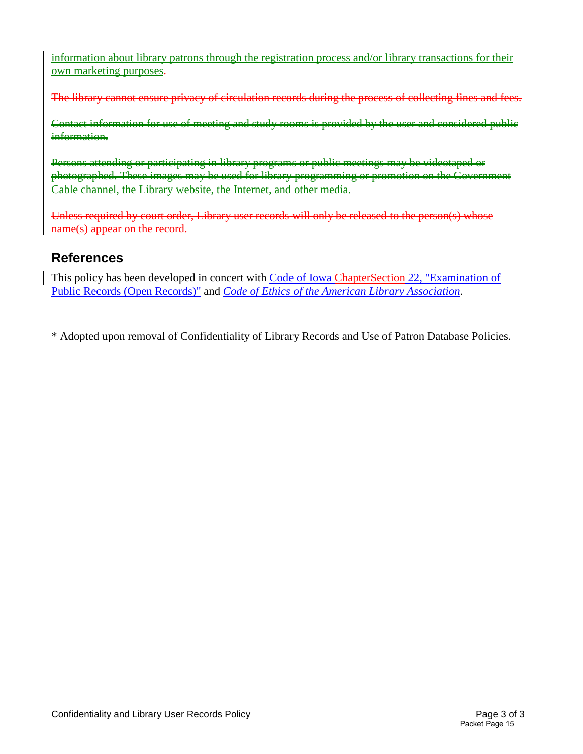information about library patrons through the registration process and/or library transactions for their own marketing purposes.

The library cannot ensure privacy of circulation records during the process of collecting fines and fees.

Contact information for use of meeting and study rooms is provided by the user and considered public information.

Persons attending or participating in library programs or public meetings may be videotaped or photographed. These images may be used for library programming or promotion on the Government Cable channel, the Library website, the Internet, and other media.

Unless required by court order, Library user records will only be released to the person(s) whose name(s) appear on the record.

# **References**

This policy has been developed in concert with Code of Iowa ChapterSection 22, "Examination of [Public Records \(Open Records\)"](https://coolice.legis.iowa.gov/cool-ice/default.asp?category=billinfo&service=iowacode&ga=83&input=22) and *[Code of Ethics of the American Library Association](http://www.ala.org/advocacy/proethics/codeofethics/codeethics)*.

\* Adopted upon removal of Confidentiality of Library Records and Use of Patron Database Policies.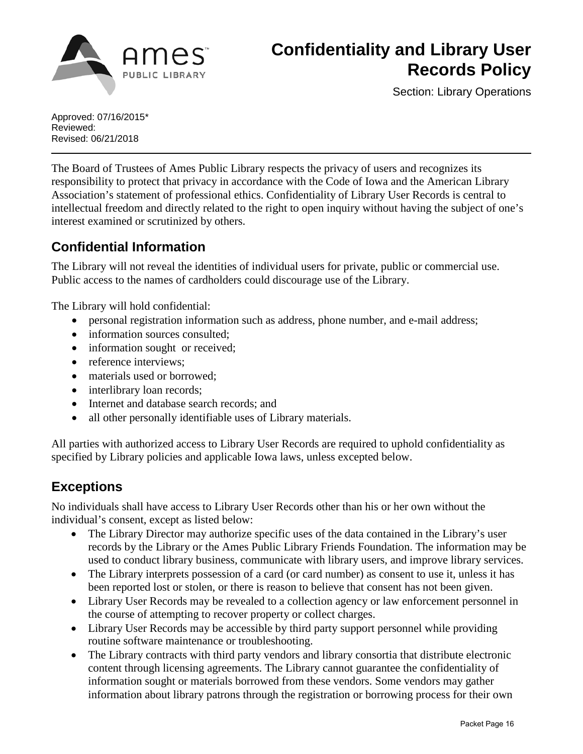

# **Confidentiality and Library User Records Policy**

Section: Library Operations

Approved: 07/16/2015\* Reviewed: Revised: 06/21/2018

The Board of Trustees of Ames Public Library respects the privacy of users and recognizes its responsibility to protect that privacy in accordance with the Code of Iowa and the American Library Association's statement of professional ethics. Confidentiality of Library User Records is central to intellectual freedom and directly related to the right to open inquiry without having the subject of one's interest examined or scrutinized by others.

# **Confidential Information**

The Library will not reveal the identities of individual users for private, public or commercial use. Public access to the names of cardholders could discourage use of the Library.

The Library will hold confidential:

- personal registration information such as address, phone number, and e-mail address;
- information sources consulted;
- information sought or received;
- reference interviews;
- materials used or borrowed;
- interlibrary loan records;
- Internet and database search records; and
- all other personally identifiable uses of Library materials.

All parties with authorized access to Library User Records are required to uphold confidentiality as specified by Library policies and applicable Iowa laws, unless excepted below.

# **Exceptions**

No individuals shall have access to Library User Records other than his or her own without the individual's consent, except as listed below:

- The Library Director may authorize specific uses of the data contained in the Library's user records by the Library or the Ames Public Library Friends Foundation. The information may be used to conduct library business, communicate with library users, and improve library services.
- The Library interprets possession of a card (or card number) as consent to use it, unless it has been reported lost or stolen, or there is reason to believe that consent has not been given.
- Library User Records may be revealed to a collection agency or law enforcement personnel in the course of attempting to recover property or collect charges.
- Library User Records may be accessible by third party support personnel while providing routine software maintenance or troubleshooting.
- The Library contracts with third party vendors and library consortia that distribute electronic content through licensing agreements. The Library cannot guarantee the confidentiality of information sought or materials borrowed from these vendors. Some vendors may gather information about library patrons through the registration or borrowing process for their own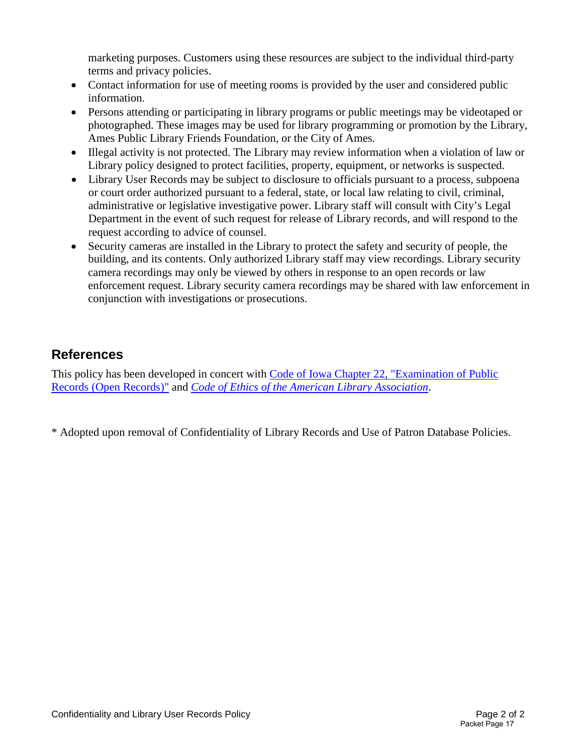marketing purposes. Customers using these resources are subject to the individual third-party terms and privacy policies.

- Contact information for use of meeting rooms is provided by the user and considered public information.
- Persons attending or participating in library programs or public meetings may be videotaped or photographed. These images may be used for library programming or promotion by the Library, Ames Public Library Friends Foundation, or the City of Ames.
- Illegal activity is not protected. The Library may review information when a violation of law or Library policy designed to protect facilities, property, equipment, or networks is suspected.
- Library User Records may be subject to disclosure to officials pursuant to a process, subpoena or court order authorized pursuant to a federal, state, or local law relating to civil, criminal, administrative or legislative investigative power. Library staff will consult with City's Legal Department in the event of such request for release of Library records, and will respond to the request according to advice of counsel.
- Security cameras are installed in the Library to protect the safety and security of people, the building, and its contents. Only authorized Library staff may view recordings. Library security camera recordings may only be viewed by others in response to an open records or law enforcement request. Library security camera recordings may be shared with law enforcement in conjunction with investigations or prosecutions.

# **References**

This policy has been developed in concert with [Code of Iowa Chapter 22, "Examination of Public](https://coolice.legis.iowa.gov/cool-ice/default.asp?category=billinfo&service=iowacode&ga=83&input=22)  [Records \(Open Records\)"](https://coolice.legis.iowa.gov/cool-ice/default.asp?category=billinfo&service=iowacode&ga=83&input=22) and *[Code of Ethics of the American Library Association](http://www.ala.org/advocacy/proethics/codeofethics/codeethics)*.

\* Adopted upon removal of Confidentiality of Library Records and Use of Patron Database Policies.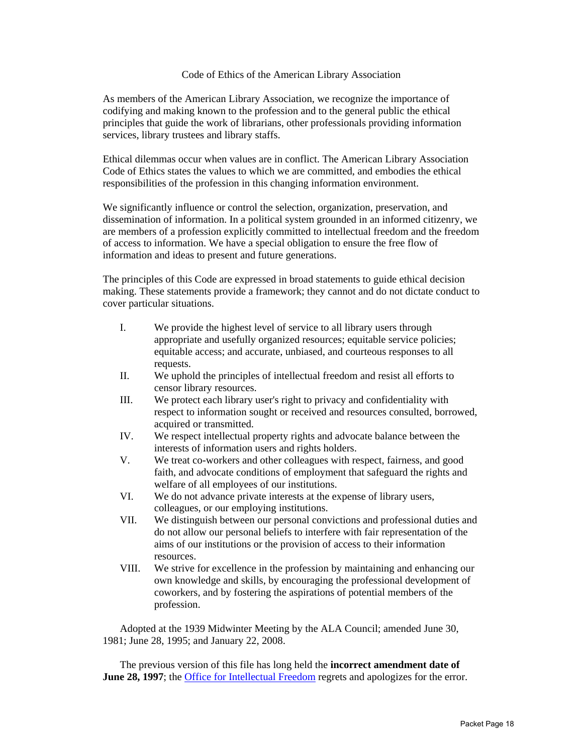#### Code of Ethics of the American Library Association

As members of the American Library Association, we recognize the importance of codifying and making known to the profession and to the general public the ethical principles that guide the work of librarians, other professionals providing information services, library trustees and library staffs.

Ethical dilemmas occur when values are in conflict. The American Library Association Code of Ethics states the values to which we are committed, and embodies the ethical responsibilities of the profession in this changing information environment.

We significantly influence or control the selection, organization, preservation, and dissemination of information. In a political system grounded in an informed citizenry, we are members of a profession explicitly committed to intellectual freedom and the freedom of access to information. We have a special obligation to ensure the free flow of information and ideas to present and future generations.

The principles of this Code are expressed in broad statements to guide ethical decision making. These statements provide a framework; they cannot and do not dictate conduct to cover particular situations.

- I. We provide the highest level of service to all library users through appropriate and usefully organized resources; equitable service policies; equitable access; and accurate, unbiased, and courteous responses to all requests.
- II. We uphold the principles of intellectual freedom and resist all efforts to censor library resources.
- III. We protect each library user's right to privacy and confidentiality with respect to information sought or received and resources consulted, borrowed, acquired or transmitted.
- IV. We respect intellectual property rights and advocate balance between the interests of information users and rights holders.
- V. We treat co-workers and other colleagues with respect, fairness, and good faith, and advocate conditions of employment that safeguard the rights and welfare of all employees of our institutions.
- VI. We do not advance private interests at the expense of library users, colleagues, or our employing institutions.
- VII. We distinguish between our personal convictions and professional duties and do not allow our personal beliefs to interfere with fair representation of the aims of our institutions or the provision of access to their information resources.
- VIII. We strive for excellence in the profession by maintaining and enhancing our own knowledge and skills, by encouraging the professional development of coworkers, and by fostering the aspirations of potential members of the profession.

Adopted at the 1939 Midwinter Meeting by the ALA Council; amended June 30, 1981; June 28, 1995; and January 22, 2008.

The previous version of this file has long held the **incorrect amendment date of June 28, 1997**; the Office for Intellectual Freedom regrets and apologizes for the error.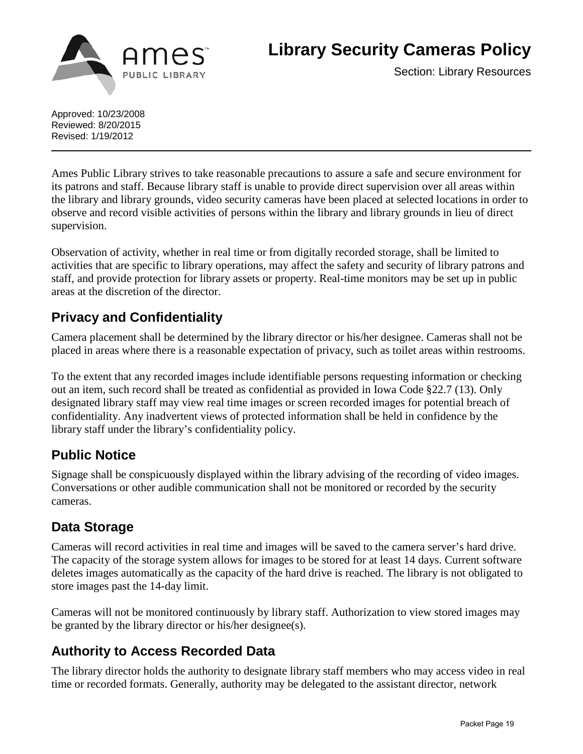

**Library Security Cameras Policy**

Section: Library Resources

Approved: 10/23/2008 Reviewed: 8/20/2015 Revised: 1/19/2012

Ames Public Library strives to take reasonable precautions to assure a safe and secure environment for its patrons and staff. Because library staff is unable to provide direct supervision over all areas within the library and library grounds, video security cameras have been placed at selected locations in order to observe and record visible activities of persons within the library and library grounds in lieu of direct supervision.

Observation of activity, whether in real time or from digitally recorded storage, shall be limited to activities that are specific to library operations, may affect the safety and security of library patrons and staff, and provide protection for library assets or property. Real-time monitors may be set up in public areas at the discretion of the director.

# **Privacy and Confidentiality**

Camera placement shall be determined by the library director or his/her designee. Cameras shall not be placed in areas where there is a reasonable expectation of privacy, such as toilet areas within restrooms.

To the extent that any recorded images include identifiable persons requesting information or checking out an item, such record shall be treated as confidential as provided in Iowa Code §22.7 (13). Only designated library staff may view real time images or screen recorded images for potential breach of confidentiality. Any inadvertent views of protected information shall be held in confidence by the library staff under the library's confidentiality policy.

# **Public Notice**

Signage shall be conspicuously displayed within the library advising of the recording of video images. Conversations or other audible communication shall not be monitored or recorded by the security cameras.

# **Data Storage**

Cameras will record activities in real time and images will be saved to the camera server's hard drive. The capacity of the storage system allows for images to be stored for at least 14 days. Current software deletes images automatically as the capacity of the hard drive is reached. The library is not obligated to store images past the 14-day limit.

Cameras will not be monitored continuously by library staff. Authorization to view stored images may be granted by the library director or his/her designee(s).

# **Authority to Access Recorded Data**

The library director holds the authority to designate library staff members who may access video in real time or recorded formats. Generally, authority may be delegated to the assistant director, network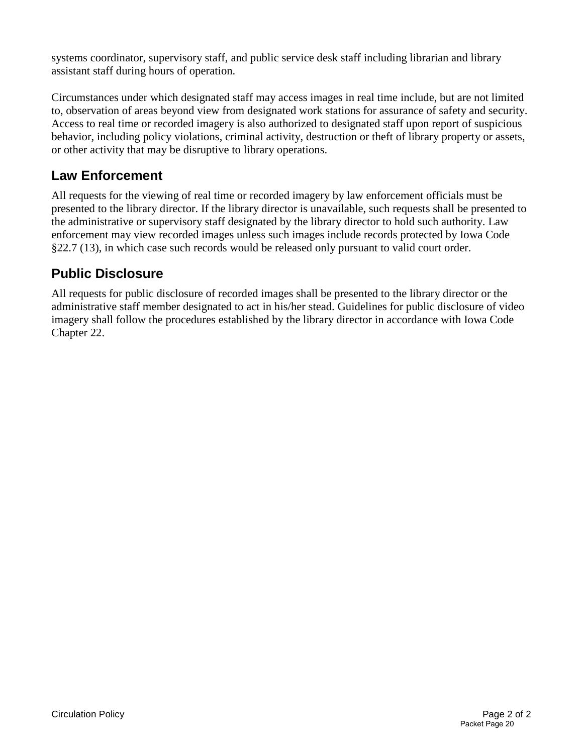systems coordinator, supervisory staff, and public service desk staff including librarian and library assistant staff during hours of operation.

Circumstances under which designated staff may access images in real time include, but are not limited to, observation of areas beyond view from designated work stations for assurance of safety and security. Access to real time or recorded imagery is also authorized to designated staff upon report of suspicious behavior, including policy violations, criminal activity, destruction or theft of library property or assets, or other activity that may be disruptive to library operations.

# **Law Enforcement**

All requests for the viewing of real time or recorded imagery by law enforcement officials must be presented to the library director. If the library director is unavailable, such requests shall be presented to the administrative or supervisory staff designated by the library director to hold such authority. Law enforcement may view recorded images unless such images include records protected by Iowa Code §22.7 (13), in which case such records would be released only pursuant to valid court order.

# **Public Disclosure**

All requests for public disclosure of recorded images shall be presented to the library director or the administrative staff member designated to act in his/her stead. Guidelines for public disclosure of video imagery shall follow the procedures established by the library director in accordance with Iowa Code Chapter 22.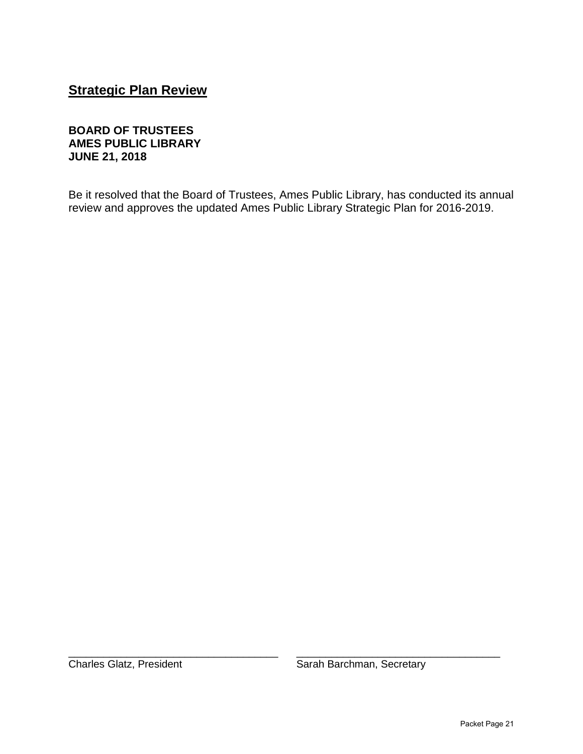# **Strategic Plan Review**

### **BOARD OF TRUSTEES AMES PUBLIC LIBRARY JUNE 21, 2018**

Be it resolved that the Board of Trustees, Ames Public Library, has conducted its annual review and approves the updated Ames Public Library Strategic Plan for 2016-2019.

\_\_\_\_\_\_\_\_\_\_\_\_\_\_\_\_\_\_\_\_\_\_\_\_\_\_\_\_\_\_\_\_\_\_\_\_ \_\_\_\_\_\_\_\_\_\_\_\_\_\_\_\_\_\_\_\_\_\_\_\_\_\_\_\_\_\_\_\_\_\_\_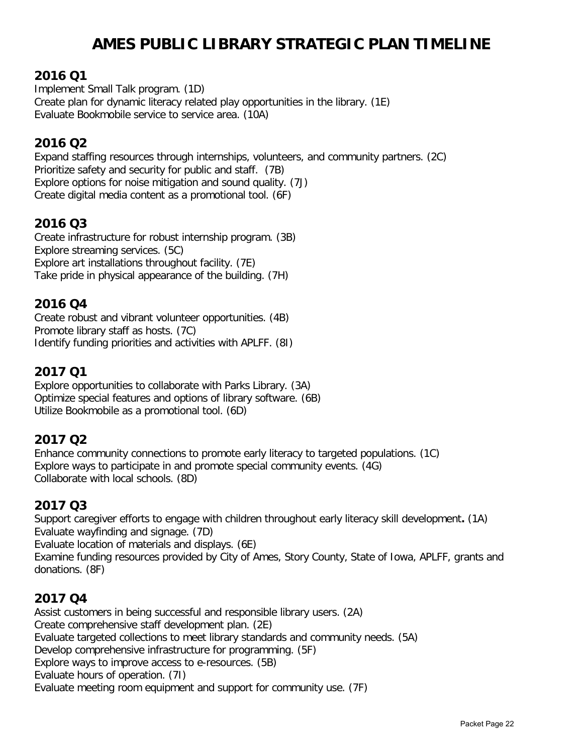# **AMES PUBLIC LIBRARY STRATEGIC PLAN TIMELINE**

### **2016 Q1**

Implement Small Talk program. (1D) Create plan for dynamic literacy related play opportunities in the library. (1E) Evaluate Bookmobile service to service area. (10A)

# **2016 Q2**

Expand staffing resources through internships, volunteers, and community partners. (2C) Prioritize safety and security for public and staff. (7B) Explore options for noise mitigation and sound quality. (7J) Create digital media content as a promotional tool. (6F)

### **2016 Q3**

Create infrastructure for robust internship program. (3B) Explore streaming services. (5C) Explore art installations throughout facility. (7E) Take pride in physical appearance of the building. (7H)

### **2016 Q4**

Create robust and vibrant volunteer opportunities. (4B) Promote library staff as hosts. (7C) Identify funding priorities and activities with APLFF. (8I)

### **2017 Q1**

Explore opportunities to collaborate with Parks Library. (3A) Optimize special features and options of library software. (6B) Utilize Bookmobile as a promotional tool. (6D)

### **2017 Q2**

Enhance community connections to promote early literacy to targeted populations. (1C) Explore ways to participate in and promote special community events. (4G) Collaborate with local schools. (8D)

### **2017 Q3**

Support caregiver efforts to engage with children throughout early literacy skill development**.** (1A) Evaluate wayfinding and signage. (7D) Evaluate location of materials and displays. (6E)

Examine funding resources provided by City of Ames, Story County, State of Iowa, APLFF, grants and donations. (8F)

### **2017 Q4**

Assist customers in being successful and responsible library users. (2A) Create comprehensive staff development plan. (2E) Evaluate targeted collections to meet library standards and community needs. (5A) Develop comprehensive infrastructure for programming. (5F) Explore ways to improve access to e-resources. (5B) Evaluate hours of operation. (7I) Evaluate meeting room equipment and support for community use. (7F)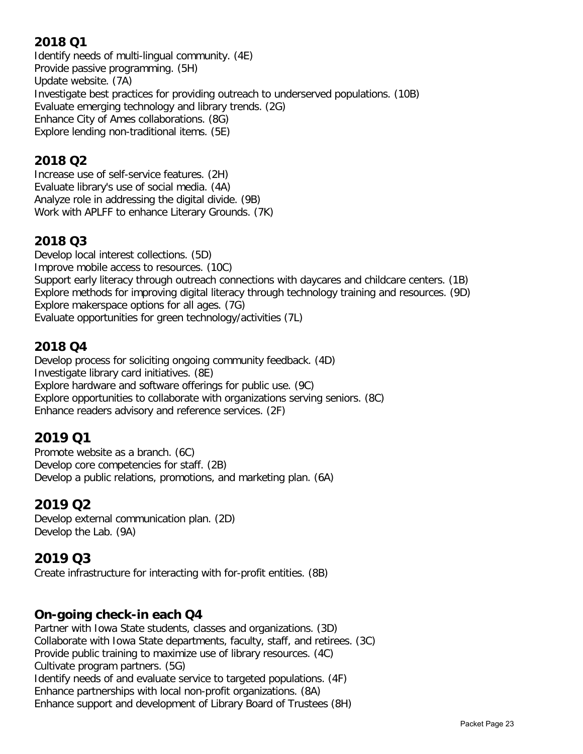# **2018 Q1**

Identify needs of multi-lingual community. (4E) Provide passive programming. (5H) Update website. (7A) Investigate best practices for providing outreach to underserved populations. (10B) Evaluate emerging technology and library trends. (2G) Enhance City of Ames collaborations. (8G) Explore lending non-traditional items. (5E)

# **2018 Q2**

Increase use of self-service features. (2H) Evaluate library's use of social media. (4A) Analyze role in addressing the digital divide. (9B) Work with APLFF to enhance Literary Grounds. (7K)

# **2018 Q3**

Develop local interest collections. (5D) Improve mobile access to resources. (10C) Support early literacy through outreach connections with daycares and childcare centers. (1B) Explore methods for improving digital literacy through technology training and resources. (9D) Explore makerspace options for all ages. (7G) Evaluate opportunities for green technology/activities (7L)

# **2018 Q4**

Develop process for soliciting ongoing community feedback. (4D) Investigate library card initiatives. (8E) Explore hardware and software offerings for public use. (9C) Explore opportunities to collaborate with organizations serving seniors. (8C) Enhance readers advisory and reference services. (2F)

# **2019 Q1**

Promote website as a branch. (6C) Develop core competencies for staff. (2B) Develop a public relations, promotions, and marketing plan. (6A)

# **2019 Q2**

Develop external communication plan. (2D) Develop the Lab. (9A)

# **2019 Q3**

Create infrastructure for interacting with for-profit entities. (8B)

# **On-going check-in each Q4**

Partner with Iowa State students, classes and organizations. (3D) Collaborate with Iowa State departments, faculty, staff, and retirees. (3C) Provide public training to maximize use of library resources. (4C) Cultivate program partners. (5G) Identify needs of and evaluate service to targeted populations. (4F) Enhance partnerships with local non-profit organizations. (8A) Enhance support and development of Library Board of Trustees (8H)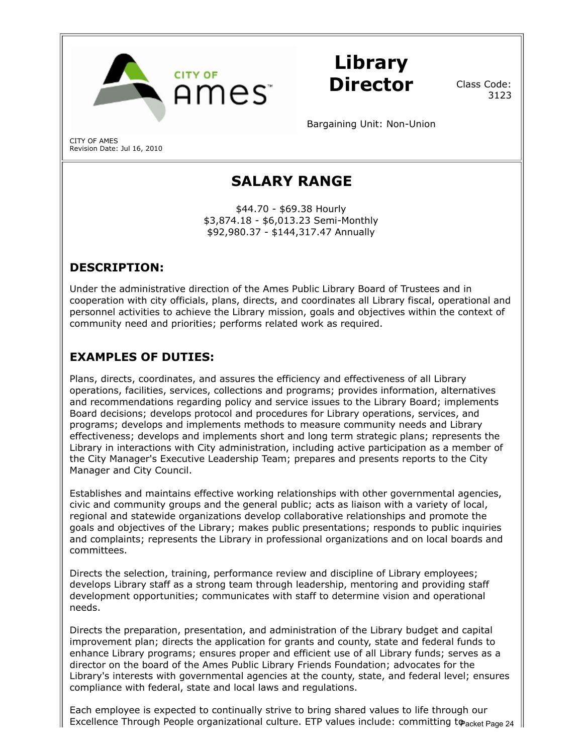

Library Director

Class Code: 3123

Bargaining Unit: Non-Union

CITY OF AMES Revision Date: Jul 16, 2010

# SALARY RANGE

\$44.70 - \$69.38 Hourly \$3,874.18 - \$6,013.23 Semi-Monthly \$92,980.37 - \$144,317.47 Annually

# DESCRIPTION:

Under the administrative direction of the Ames Public Library Board of Trustees and in cooperation with city officials, plans, directs, and coordinates all Library fiscal, operational and personnel activities to achieve the Library mission, goals and objectives within the context of community need and priorities; performs related work as required.

# EXAMPLES OF DUTIES:

Plans, directs, coordinates, and assures the efficiency and effectiveness of all Library operations, facilities, services, collections and programs; provides information, alternatives and recommendations regarding policy and service issues to the Library Board; implements Board decisions; develops protocol and procedures for Library operations, services, and programs; develops and implements methods to measure community needs and Library effectiveness; develops and implements short and long term strategic plans; represents the Library in interactions with City administration, including active participation as a member of the City Manager's Executive Leadership Team; prepares and presents reports to the City Manager and City Council.

Establishes and maintains effective working relationships with other governmental agencies, civic and community groups and the general public; acts as liaison with a variety of local, regional and statewide organizations develop collaborative relationships and promote the goals and objectives of the Library; makes public presentations; responds to public inquiries and complaints; represents the Library in professional organizations and on local boards and committees.

Directs the selection, training, performance review and discipline of Library employees; develops Library staff as a strong team through leadership, mentoring and providing staff development opportunities; communicates with staff to determine vision and operational needs.

Directs the preparation, presentation, and administration of the Library budget and capital improvement plan; directs the application for grants and county, state and federal funds to enhance Library programs; ensures proper and efficient use of all Library funds; serves as a director on the board of the Ames Public Library Friends Foundation; advocates for the Library's interests with governmental agencies at the county, state, and federal level; ensures compliance with federal, state and local laws and regulations.

Each employee is expected to continually strive to bring shared values to life through our Excellence Through People organizational culture. ETP values include: committing to acket Page 24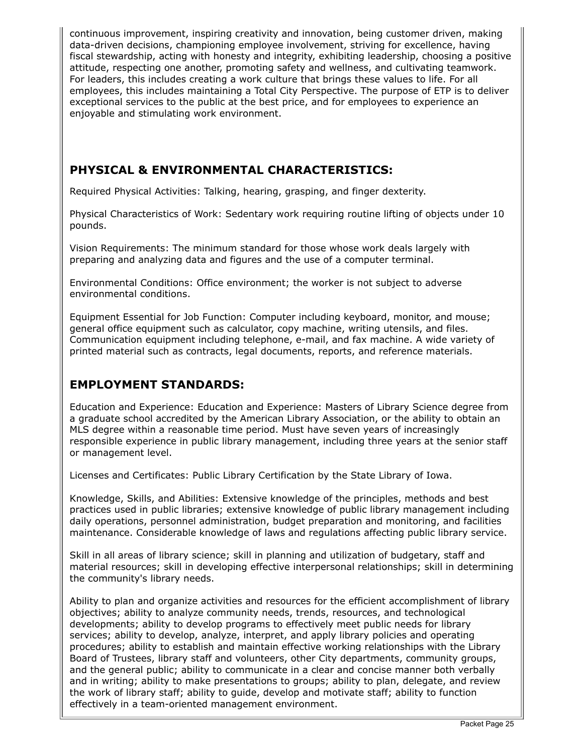continuous improvement, inspiring creativity and innovation, being customer driven, making data-driven decisions, championing employee involvement, striving for excellence, having fiscal stewardship, acting with honesty and integrity, exhibiting leadership, choosing a positive attitude, respecting one another, promoting safety and wellness, and cultivating teamwork. For leaders, this includes creating a work culture that brings these values to life. For all employees, this includes maintaining a Total City Perspective. The purpose of ETP is to deliver exceptional services to the public at the best price, and for employees to experience an enjoyable and stimulating work environment.

# PHYSICAL & ENVIRONMENTAL CHARACTERISTICS:

Required Physical Activities: Talking, hearing, grasping, and finger dexterity.

Physical Characteristics of Work: Sedentary work requiring routine lifting of objects under 10 pounds.

Vision Requirements: The minimum standard for those whose work deals largely with preparing and analyzing data and figures and the use of a computer terminal.

Environmental Conditions: Office environment; the worker is not subject to adverse environmental conditions.

Equipment Essential for Job Function: Computer including keyboard, monitor, and mouse; general office equipment such as calculator, copy machine, writing utensils, and files. Communication equipment including telephone, e-mail, and fax machine. A wide variety of printed material such as contracts, legal documents, reports, and reference materials.

### EMPLOYMENT STANDARDS:

Education and Experience: Education and Experience: Masters of Library Science degree from a graduate school accredited by the American Library Association, or the ability to obtain an MLS degree within a reasonable time period. Must have seven years of increasingly responsible experience in public library management, including three years at the senior staff or management level.

Licenses and Certificates: Public Library Certification by the State Library of Iowa.

Knowledge, Skills, and Abilities: Extensive knowledge of the principles, methods and best practices used in public libraries; extensive knowledge of public library management including daily operations, personnel administration, budget preparation and monitoring, and facilities maintenance. Considerable knowledge of laws and regulations affecting public library service.

Skill in all areas of library science; skill in planning and utilization of budgetary, staff and material resources; skill in developing effective interpersonal relationships; skill in determining the community's library needs.

Ability to plan and organize activities and resources for the efficient accomplishment of library objectives; ability to analyze community needs, trends, resources, and technological developments; ability to develop programs to effectively meet public needs for library services; ability to develop, analyze, interpret, and apply library policies and operating procedures; ability to establish and maintain effective working relationships with the Library Board of Trustees, library staff and volunteers, other City departments, community groups, and the general public; ability to communicate in a clear and concise manner both verbally and in writing; ability to make presentations to groups; ability to plan, delegate, and review the work of library staff; ability to guide, develop and motivate staff; ability to function effectively in a team-oriented management environment.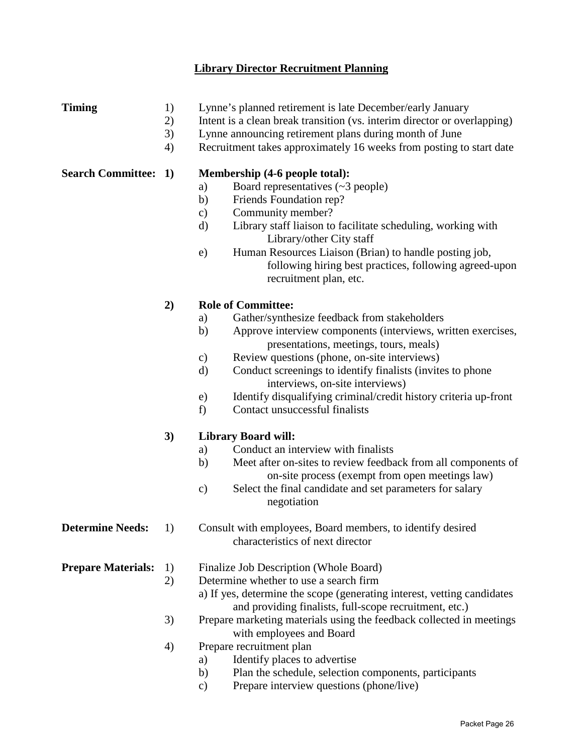### **Library Director Recruitment Planning**

- **Timing** 1) Lynne's planned retirement is late December/early January
	- 2) Intent is a clean break transition (vs. interim director or overlapping)
	- 3) Lynne announcing retirement plans during month of June
	- 4) Recruitment takes approximately 16 weeks from posting to start date

### **Search Committee: 1) Membership (4-6 people total):**

- a) Board representatives (~3 people)
- b) Friends Foundation rep?
- c) Community member?
- d) Library staff liaison to facilitate scheduling, working with Library/other City staff
- e) Human Resources Liaison (Brian) to handle posting job, following hiring best practices, following agreed-upon recruitment plan, etc.

### **2) Role of Committee:**

- a) Gather/synthesize feedback from stakeholders
- b) Approve interview components (interviews, written exercises, presentations, meetings, tours, meals)
- c) Review questions (phone, on-site interviews)
- d) Conduct screenings to identify finalists (invites to phone interviews, on-site interviews)
- e) Identify disqualifying criminal/credit history criteria up-front
- f) Contact unsuccessful finalists

### **3) Library Board will:**

- a) Conduct an interview with finalists
- b) Meet after on-sites to review feedback from all components of on-site process (exempt from open meetings law)
- c) Select the final candidate and set parameters for salary negotiation
- **Determine Needs:** 1) Consult with employees, Board members, to identify desired characteristics of next director

**Prepare Materials:** 1) Finalize Job Description (Whole Board)

- 2) Determine whether to use a search firm
	- a) If yes, determine the scope (generating interest, vetting candidates and providing finalists, full-scope recruitment, etc.)
- 3) Prepare marketing materials using the feedback collected in meetings with employees and Board
- 4) Prepare recruitment plan
	- a) Identify places to advertise
	- b) Plan the schedule, selection components, participants
	- c) Prepare interview questions (phone/live)